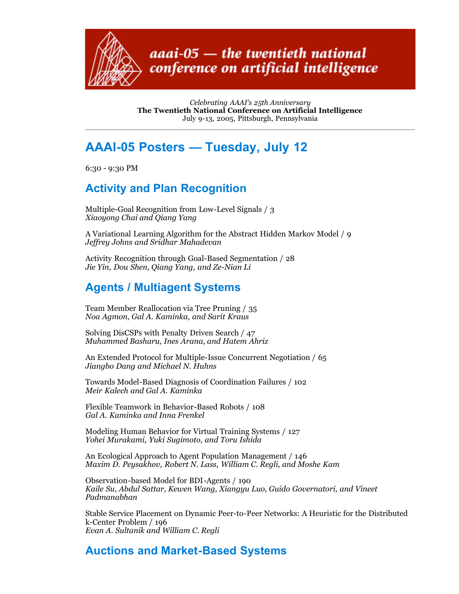

aaai-05 – the twentieth national conference on artificial intelligence

*Celebrating AAAI's 25th Anniversary* **The Twentieth National Conference on Artificial Intelligence** July 9-13, 2005, Pittsburgh, Pennsylvania

# **AAAI-05 Posters — Tuesday, July 12**

6:30 - 9:30 PM

# **Activity and Plan Recognition**

Multiple-Goal Recognition from Low-Level Signals / 3 *Xiaoyong Chai and Qiang Yang*

A Variational Learning Algorithm for the Abstract Hidden Markov Model / 9 *Jeffrey Johns and Sridhar Mahadevan*

Activity Recognition through Goal-Based Segmentation / 28 *Jie Yin, Dou Shen, Qiang Yang, and Ze-Nian Li*

## **Agents / Multiagent Systems**

Team Member Reallocation via Tree Pruning / 35 *Noa Agmon, Gal A. Kaminka, and Sarit Kraus*

Solving DisCSPs with Penalty Driven Search / 47 *Muhammed Basharu, Ines Arana, and Hatem Ahriz*

An Extended Protocol for Multiple-Issue Concurrent Negotiation / 65 *Jiangbo Dang and Michael N. Huhns*

Towards Model-Based Diagnosis of Coordination Failures / 102 *Meir Kalech and Gal A. Kaminka*

Flexible Teamwork in Behavior-Based Robots / 108 *Gal A. Kaminka and Inna Frenkel*

Modeling Human Behavior for Virtual Training Systems / 127 *Yohei Murakami, Yuki Sugimoto, and Toru Ishida*

An Ecological Approach to Agent Population Management / 146 *Maxim D. Peysakhov, Robert N. Lass, William C. Regli, and Moshe Kam*

Observation-based Model for BDI-Agents / 190 *Kaile Su, Abdul Sattar, Kewen Wang, Xiangyu Luo, Guido Governatori, and Vineet Padmanabhan*

Stable Service Placement on Dynamic Peer-to-Peer Networks: A Heuristic for the Distributed k-Center Problem / 196 *Evan A. Sultanik and William C. Regli*

## **Auctions and Market-Based Systems**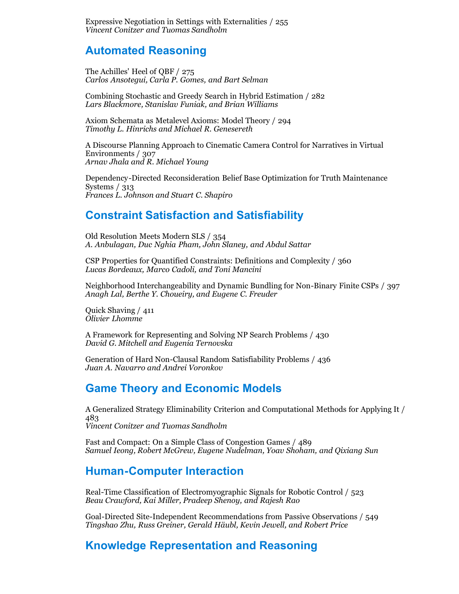Expressive Negotiation in Settings with Externalities / 255 *Vincent Conitzer and Tuomas Sandholm*

#### **Automated Reasoning**

The Achilles' Heel of QBF / 275 *Carlos Ansotegui, Carla P. Gomes, and Bart Selman*

Combining Stochastic and Greedy Search in Hybrid Estimation / 282 *Lars Blackmore, Stanislav Funiak, and Brian Williams*

Axiom Schemata as Metalevel Axioms: Model Theory / 294 *Timothy L. Hinrichs and Michael R. Genesereth*

A Discourse Planning Approach to Cinematic Camera Control for Narratives in Virtual Environments / 307 *Arnav Jhala and R. Michael Young*

Dependency-Directed Reconsideration Belief Base Optimization for Truth Maintenance Systems / 313 *Frances L. Johnson and Stuart C. Shapiro*

#### **Constraint Satisfaction and Satisfiability**

Old Resolution Meets Modern SLS / 354 *A. Anbulagan, Duc Nghia Pham, John Slaney, and Abdul Sattar*

CSP Properties for Quantified Constraints: Definitions and Complexity / 360 *Lucas Bordeaux, Marco Cadoli, and Toni Mancini*

Neighborhood Interchangeability and Dynamic Bundling for Non-Binary Finite CSPs / 397 *Anagh Lal, Berthe Y. Choueiry, and Eugene C. Freuder*

Quick Shaving / 411 *Olivier Lhomme*

A Framework for Representing and Solving NP Search Problems / 430 *David G. Mitchell and Eugenia Ternovska*

Generation of Hard Non-Clausal Random Satisfiability Problems / 436 *Juan A. Navarro and Andrei Voronkov*

#### **Game Theory and Economic Models**

A Generalized Strategy Eliminability Criterion and Computational Methods for Applying It / 483 *Vincent Conitzer and Tuomas Sandholm*

Fast and Compact: On a Simple Class of Congestion Games / 489 *Samuel Ieong, Robert McGrew, Eugene Nudelman, Yoav Shoham, and Qixiang Sun*

#### **Human-Computer Interaction**

Real-Time Classification of Electromyographic Signals for Robotic Control / 523 *Beau Crawford, Kai Miller, Pradeep Shenoy, and Rajesh Rao*

Goal-Directed Site-Independent Recommendations from Passive Observations / 549 *Tingshao Zhu, Russ Greiner, Gerald Häubl, Kevin Jewell, and Robert Price*

## **Knowledge Representation and Reasoning**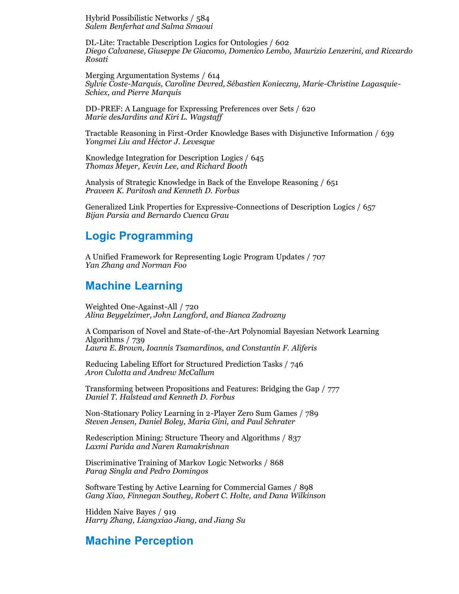Hybrid Possibilistic Networks / 584 *Salem Benferhat and Salma Smaoui*

DL-Lite: Tractable Description Logics for Ontologies / 602 *Diego Calvanese, Giuseppe De Giacomo, Domenico Lembo, Maurizio Lenzerini, and Riccardo Rosati*

Merging Argumentation Systems / 614 *Sylvie Coste-Marquis, Caroline Devred, Sébastien Konieczny, Marie-Christine Lagasquie-Schiex, and Pierre Marquis*

DD-PREF: A Language for Expressing Preferences over Sets / 620 *Marie desJardins and Kiri L. Wagstaff*

Tractable Reasoning in First-Order Knowledge Bases with Disjunctive Information / 639 *Yongmei Liu and Héctor J. Levesque*

Knowledge Integration for Description Logics / 645 *Thomas Meyer, Kevin Lee, and Richard Booth*

Analysis of Strategic Knowledge in Back of the Envelope Reasoning / 651 *Praveen K. Paritosh and Kenneth D. Forbus*

Generalized Link Properties for Expressive-Connections of Description Logics / 657 *Bijan Parsia and Bernardo Cuenca Grau*

## **Logic Programming**

A Unified Framework for Representing Logic Program Updates / 707 *Yan Zhang and Norman Foo*

#### **Machine Learning**

Weighted One-Against-All / 720 *Alina Beygelzimer, John Langford, and Bianca Zadrozny*

A Comparison of Novel and State-of-the-Art Polynomial Bayesian Network Learning Algorithms / 739 *Laura E. Brown, Ioannis Tsamardinos, and Constantin F. Aliferis*

Reducing Labeling Effort for Structured Prediction Tasks / 746 *Aron Culotta and Andrew McCallum*

Transforming between Propositions and Features: Bridging the Gap / 777 *Daniel T. Halstead and Kenneth D. Forbus*

Non-Stationary Policy Learning in 2-Player Zero Sum Games / 789 *Steven Jensen, Daniel Boley, Maria Gini, and Paul Schrater*

Redescription Mining: Structure Theory and Algorithms / 837 *Laxmi Parida and Naren Ramakrishnan*

Discriminative Training of Markov Logic Networks / 868 *Parag Singla and Pedro Domingos*

Software Testing by Active Learning for Commercial Games / 898 *Gang Xiao, Finnegan Southey, Robert C. Holte, and Dana Wilkinson*

Hidden Naive Bayes / 919 *Harry Zhang, Liangxiao Jiang, and Jiang Su*

## **Machine Perception**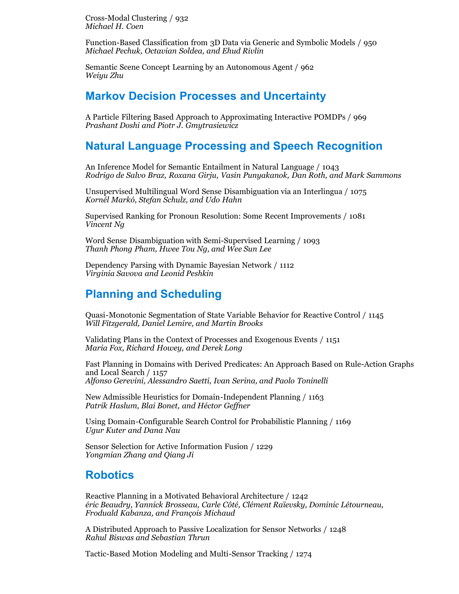Cross-Modal Clustering / 932 *Michael H. Coen*

Function-Based Classification from 3D Data via Generic and Symbolic Models / 950 *Michael Pechuk, Octavian Soldea, and Ehud Rivlin*

Semantic Scene Concept Learning by an Autonomous Agent / 962 *Weiyu Zhu*

#### **Markov Decision Processes and Uncertainty**

A Particle Filtering Based Approach to Approximating Interactive POMDPs / 969 *Prashant Doshi and Piotr J. Gmytrasiewicz*

### **Natural Language Processing and Speech Recognition**

An Inference Model for Semantic Entailment in Natural Language / 1043 *Rodrigo de Salvo Braz, Roxana Girju, Vasin Punyakanok, Dan Roth, and Mark Sammons*

Unsupervised Multilingual Word Sense Disambiguation via an Interlingua / 1075 *Kornél Markó, Stefan Schulz, and Udo Hahn*

Supervised Ranking for Pronoun Resolution: Some Recent Improvements / 1081 *Vincent Ng*

Word Sense Disambiguation with Semi-Supervised Learning / 1093 *Thanh Phong Pham, Hwee Tou Ng, and Wee Sun Lee*

Dependency Parsing with Dynamic Bayesian Network / 1112 *Virginia Savova and Leonid Peshkin*

## **Planning and Scheduling**

Quasi-Monotonic Segmentation of State Variable Behavior for Reactive Control / 1145 *Will Fitzgerald, Daniel Lemire, and Martin Brooks*

Validating Plans in the Context of Processes and Exogenous Events / 1151 *Maria Fox, Richard Howey, and Derek Long*

Fast Planning in Domains with Derived Predicates: An Approach Based on Rule-Action Graphs and Local Search / 1157 *Alfonso Gerevini, Alessandro Saetti, Ivan Serina, and Paolo Toninelli*

New Admissible Heuristics for Domain-Independent Planning / 1163 *Patrik Haslum, Blai Bonet, and Héctor Geffner*

Using Domain-Configurable Search Control for Probabilistic Planning / 1169 *Ugur Kuter and Dana Nau*

Sensor Selection for Active Information Fusion / 1229 *Yongmian Zhang and Qiang Ji*

#### **Robotics**

Reactive Planning in a Motivated Behavioral Architecture / 1242 *éric Beaudry, Yannick Brosseau, Carle Côté, Clément Raïevsky, Dominic Létourneau, Froduald Kabanza, and François Michaud*

A Distributed Approach to Passive Localization for Sensor Networks / 1248 *Rahul Biswas and Sebastian Thrun*

Tactic-Based Motion Modeling and Multi-Sensor Tracking / 1274